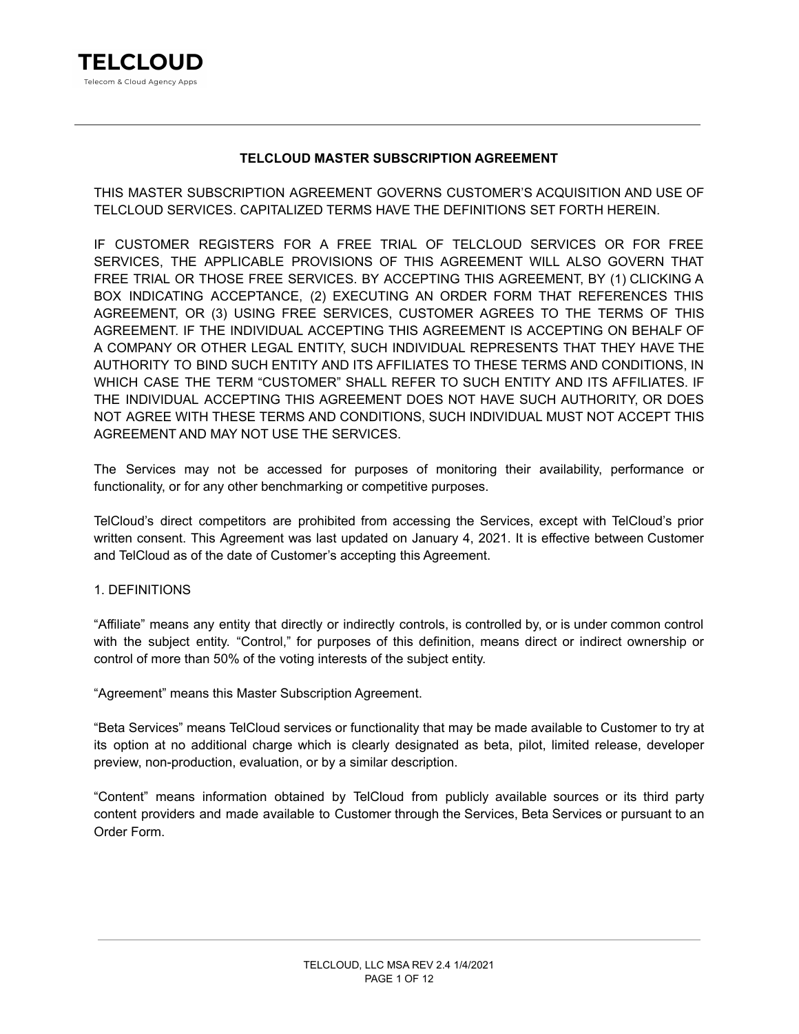

# **TELCLOUD MASTER SUBSCRIPTION AGREEMENT**

THIS MASTER SUBSCRIPTION AGREEMENT GOVERNS CUSTOMER'S ACQUISITION AND USE OF TELCLOUD SERVICES. CAPITALIZED TERMS HAVE THE DEFINITIONS SET FORTH HEREIN.

IF CUSTOMER REGISTERS FOR A FREE TRIAL OF TELCLOUD SERVICES OR FOR FREE SERVICES, THE APPLICABLE PROVISIONS OF THIS AGREEMENT WILL ALSO GOVERN THAT FREE TRIAL OR THOSE FREE SERVICES. BY ACCEPTING THIS AGREEMENT, BY (1) CLICKING A BOX INDICATING ACCEPTANCE, (2) EXECUTING AN ORDER FORM THAT REFERENCES THIS AGREEMENT, OR (3) USING FREE SERVICES, CUSTOMER AGREES TO THE TERMS OF THIS AGREEMENT. IF THE INDIVIDUAL ACCEPTING THIS AGREEMENT IS ACCEPTING ON BEHALF OF A COMPANY OR OTHER LEGAL ENTITY, SUCH INDIVIDUAL REPRESENTS THAT THEY HAVE THE AUTHORITY TO BIND SUCH ENTITY AND ITS AFFILIATES TO THESE TERMS AND CONDITIONS, IN WHICH CASE THE TERM "CUSTOMER" SHALL REFER TO SUCH ENTITY AND ITS AFFILIATES. IF THE INDIVIDUAL ACCEPTING THIS AGREEMENT DOES NOT HAVE SUCH AUTHORITY, OR DOES NOT AGREE WITH THESE TERMS AND CONDITIONS, SUCH INDIVIDUAL MUST NOT ACCEPT THIS AGREEMENT AND MAY NOT USE THE SERVICES.

The Services may not be accessed for purposes of monitoring their availability, performance or functionality, or for any other benchmarking or competitive purposes.

TelCloud's direct competitors are prohibited from accessing the Services, except with TelCloud's prior written consent. This Agreement was last updated on January 4, 2021. It is effective between Customer and TelCloud as of the date of Customer's accepting this Agreement.

# 1. DEFINITIONS

"Affiliate" means any entity that directly or indirectly controls, is controlled by, or is under common control with the subject entity. "Control," for purposes of this definition, means direct or indirect ownership or control of more than 50% of the voting interests of the subject entity.

"Agreement" means this Master Subscription Agreement.

"Beta Services" means TelCloud services or functionality that may be made available to Customer to try at its option at no additional charge which is clearly designated as beta, pilot, limited release, developer preview, non-production, evaluation, or by a similar description.

"Content" means information obtained by TelCloud from publicly available sources or its third party content providers and made available to Customer through the Services, Beta Services or pursuant to an Order Form.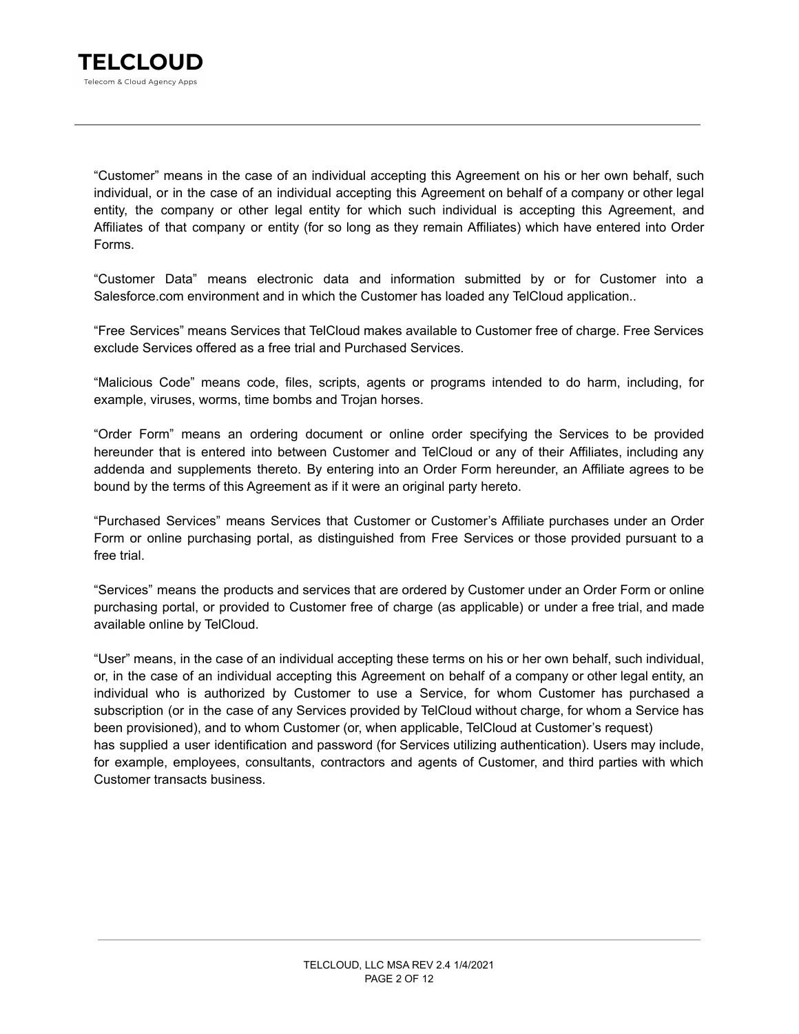"Customer" means in the case of an individual accepting this Agreement on his or her own behalf, such individual, or in the case of an individual accepting this Agreement on behalf of a company or other legal entity, the company or other legal entity for which such individual is accepting this Agreement, and Affiliates of that company or entity (for so long as they remain Affiliates) which have entered into Order Forms.

"Customer Data" means electronic data and information submitted by or for Customer into a Salesforce.com environment and in which the Customer has loaded any TelCloud application..

"Free Services" means Services that TelCloud makes available to Customer free of charge. Free Services exclude Services offered as a free trial and Purchased Services.

"Malicious Code" means code, files, scripts, agents or programs intended to do harm, including, for example, viruses, worms, time bombs and Trojan horses.

"Order Form" means an ordering document or online order specifying the Services to be provided hereunder that is entered into between Customer and TelCloud or any of their Affiliates, including any addenda and supplements thereto. By entering into an Order Form hereunder, an Affiliate agrees to be bound by the terms of this Agreement as if it were an original party hereto.

"Purchased Services" means Services that Customer or Customer's Affiliate purchases under an Order Form or online purchasing portal, as distinguished from Free Services or those provided pursuant to a free trial.

"Services" means the products and services that are ordered by Customer under an Order Form or online purchasing portal, or provided to Customer free of charge (as applicable) or under a free trial, and made available online by TelCloud.

"User" means, in the case of an individual accepting these terms on his or her own behalf, such individual, or, in the case of an individual accepting this Agreement on behalf of a company or other legal entity, an individual who is authorized by Customer to use a Service, for whom Customer has purchased a subscription (or in the case of any Services provided by TelCloud without charge, for whom a Service has been provisioned), and to whom Customer (or, when applicable, TelCloud at Customer's request) has supplied a user identification and password (for Services utilizing authentication). Users may include, for example, employees, consultants, contractors and agents of Customer, and third parties with which Customer transacts business.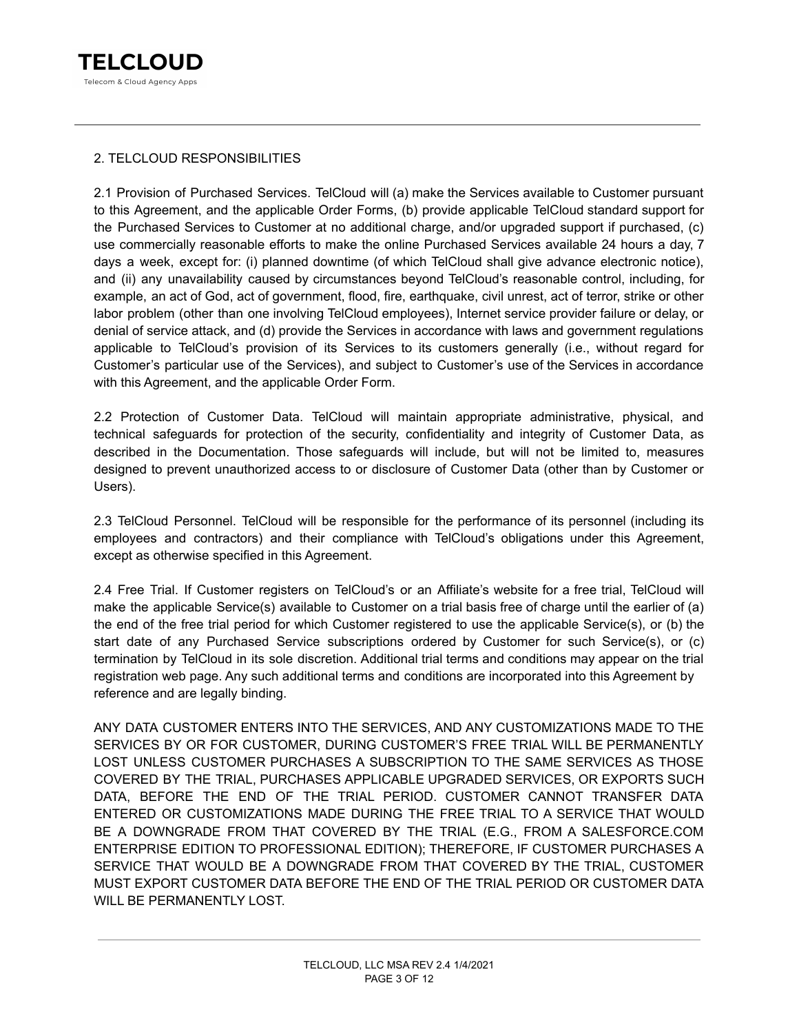# 2. TELCLOUD RESPONSIBILITIES

2.1 Provision of Purchased Services. TelCloud will (a) make the Services available to Customer pursuant to this Agreement, and the applicable Order Forms, (b) provide applicable TelCloud standard support for the Purchased Services to Customer at no additional charge, and/or upgraded support if purchased, (c) use commercially reasonable efforts to make the online Purchased Services available 24 hours a day, 7 days a week, except for: (i) planned downtime (of which TelCloud shall give advance electronic notice), and (ii) any unavailability caused by circumstances beyond TelCloud's reasonable control, including, for example, an act of God, act of government, flood, fire, earthquake, civil unrest, act of terror, strike or other labor problem (other than one involving TelCloud employees), Internet service provider failure or delay, or denial of service attack, and (d) provide the Services in accordance with laws and government regulations applicable to TelCloud's provision of its Services to its customers generally (i.e., without regard for Customer's particular use of the Services), and subject to Customer's use of the Services in accordance with this Agreement, and the applicable Order Form.

2.2 Protection of Customer Data. TelCloud will maintain appropriate administrative, physical, and technical safeguards for protection of the security, confidentiality and integrity of Customer Data, as described in the Documentation. Those safeguards will include, but will not be limited to, measures designed to prevent unauthorized access to or disclosure of Customer Data (other than by Customer or Users).

2.3 TelCloud Personnel. TelCloud will be responsible for the performance of its personnel (including its employees and contractors) and their compliance with TelCloud's obligations under this Agreement, except as otherwise specified in this Agreement.

2.4 Free Trial. If Customer registers on TelCloud's or an Affiliate's website for a free trial, TelCloud will make the applicable Service(s) available to Customer on a trial basis free of charge until the earlier of (a) the end of the free trial period for which Customer registered to use the applicable Service(s), or (b) the start date of any Purchased Service subscriptions ordered by Customer for such Service(s), or (c) termination by TelCloud in its sole discretion. Additional trial terms and conditions may appear on the trial registration web page. Any such additional terms and conditions are incorporated into this Agreement by reference and are legally binding.

ANY DATA CUSTOMER ENTERS INTO THE SERVICES, AND ANY CUSTOMIZATIONS MADE TO THE SERVICES BY OR FOR CUSTOMER, DURING CUSTOMER'S FREE TRIAL WILL BE PERMANENTLY LOST UNLESS CUSTOMER PURCHASES A SUBSCRIPTION TO THE SAME SERVICES AS THOSE COVERED BY THE TRIAL, PURCHASES APPLICABLE UPGRADED SERVICES, OR EXPORTS SUCH DATA, BEFORE THE END OF THE TRIAL PERIOD. CUSTOMER CANNOT TRANSFER DATA ENTERED OR CUSTOMIZATIONS MADE DURING THE FREE TRIAL TO A SERVICE THAT WOULD BE A DOWNGRADE FROM THAT COVERED BY THE TRIAL (E.G., FROM A SALESFORCE.COM ENTERPRISE EDITION TO PROFESSIONAL EDITION); THEREFORE, IF CUSTOMER PURCHASES A SERVICE THAT WOULD BE A DOWNGRADE FROM THAT COVERED BY THE TRIAL, CUSTOMER MUST EXPORT CUSTOMER DATA BEFORE THE END OF THE TRIAL PERIOD OR CUSTOMER DATA WILL BE PERMANENTLY LOST.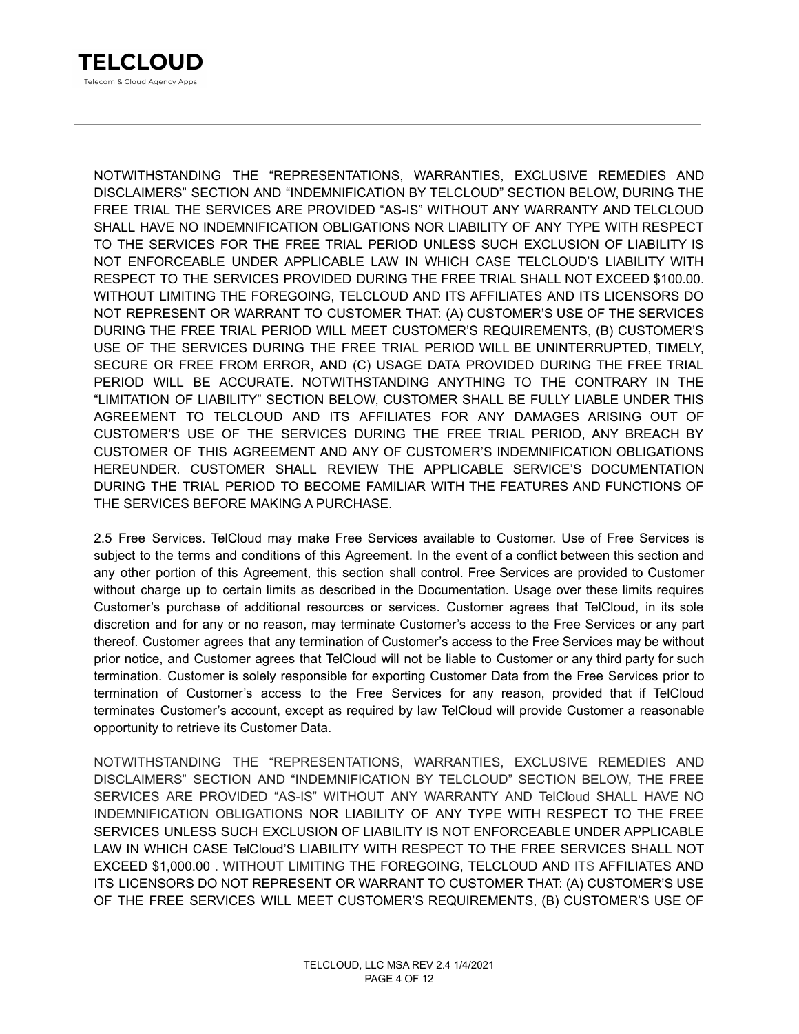NOTWITHSTANDING THE "REPRESENTATIONS, WARRANTIES, EXCLUSIVE REMEDIES AND DISCLAIMERS" SECTION AND "INDEMNIFICATION BY TELCLOUD" SECTION BELOW, DURING THE FREE TRIAL THE SERVICES ARE PROVIDED "AS-IS" WITHOUT ANY WARRANTY AND TELCLOUD SHALL HAVE NO INDEMNIFICATION OBLIGATIONS NOR LIABILITY OF ANY TYPE WITH RESPECT TO THE SERVICES FOR THE FREE TRIAL PERIOD UNLESS SUCH EXCLUSION OF LIABILITY IS NOT ENFORCEABLE UNDER APPLICABLE LAW IN WHICH CASE TELCLOUD'S LIABILITY WITH RESPECT TO THE SERVICES PROVIDED DURING THE FREE TRIAL SHALL NOT EXCEED \$100.00. WITHOUT LIMITING THE FOREGOING, TELCLOUD AND ITS AFFILIATES AND ITS LICENSORS DO NOT REPRESENT OR WARRANT TO CUSTOMER THAT: (A) CUSTOMER'S USE OF THE SERVICES DURING THE FREE TRIAL PERIOD WILL MEET CUSTOMER'S REQUIREMENTS, (B) CUSTOMER'S USE OF THE SERVICES DURING THE FREE TRIAL PERIOD WILL BE UNINTERRUPTED, TIMELY, SECURE OR FREE FROM ERROR, AND (C) USAGE DATA PROVIDED DURING THE FREE TRIAL PERIOD WILL BE ACCURATE. NOTWITHSTANDING ANYTHING TO THE CONTRARY IN THE "LIMITATION OF LIABILITY" SECTION BELOW, CUSTOMER SHALL BE FULLY LIABLE UNDER THIS AGREEMENT TO TELCLOUD AND ITS AFFILIATES FOR ANY DAMAGES ARISING OUT OF CUSTOMER'S USE OF THE SERVICES DURING THE FREE TRIAL PERIOD, ANY BREACH BY CUSTOMER OF THIS AGREEMENT AND ANY OF CUSTOMER'S INDEMNIFICATION OBLIGATIONS HEREUNDER. CUSTOMER SHALL REVIEW THE APPLICABLE SERVICE'S DOCUMENTATION DURING THE TRIAL PERIOD TO BECOME FAMILIAR WITH THE FEATURES AND FUNCTIONS OF THE SERVICES BEFORE MAKING A PURCHASE.

2.5 Free Services. TelCloud may make Free Services available to Customer. Use of Free Services is subject to the terms and conditions of this Agreement. In the event of a conflict between this section and any other portion of this Agreement, this section shall control. Free Services are provided to Customer without charge up to certain limits as described in the Documentation. Usage over these limits requires Customer's purchase of additional resources or services. Customer agrees that TelCloud, in its sole discretion and for any or no reason, may terminate Customer's access to the Free Services or any part thereof. Customer agrees that any termination of Customer's access to the Free Services may be without prior notice, and Customer agrees that TelCloud will not be liable to Customer or any third party for such termination. Customer is solely responsible for exporting Customer Data from the Free Services prior to termination of Customer's access to the Free Services for any reason, provided that if TelCloud terminates Customer's account, except as required by law TelCloud will provide Customer a reasonable opportunity to retrieve its Customer Data.

NOTWITHSTANDING THE "REPRESENTATIONS, WARRANTIES, EXCLUSIVE REMEDIES AND DISCLAIMERS" SECTION AND "INDEMNIFICATION BY TELCLOUD" SECTION BELOW, THE FREE SERVICES ARE PROVIDED "AS-IS" WITHOUT ANY WARRANTY AND TelCloud SHALL HAVE NO INDEMNIFICATION OBLIGATIONS NOR LIABILITY OF ANY TYPE WITH RESPECT TO THE FREE SERVICES UNLESS SUCH EXCLUSION OF LIABILITY IS NOT ENFORCEABLE UNDER APPLICABLE LAW IN WHICH CASE TelCloud'S LIABILITY WITH RESPECT TO THE FREE SERVICES SHALL NOT EXCEED \$1,000.00 . WITHOUT LIMITING THE FOREGOING, TELCLOUD AND ITS AFFILIATES AND ITS LICENSORS DO NOT REPRESENT OR WARRANT TO CUSTOMER THAT: (A) CUSTOMER'S USE OF THE FREE SERVICES WILL MEET CUSTOMER'S REQUIREMENTS, (B) CUSTOMER'S USE OF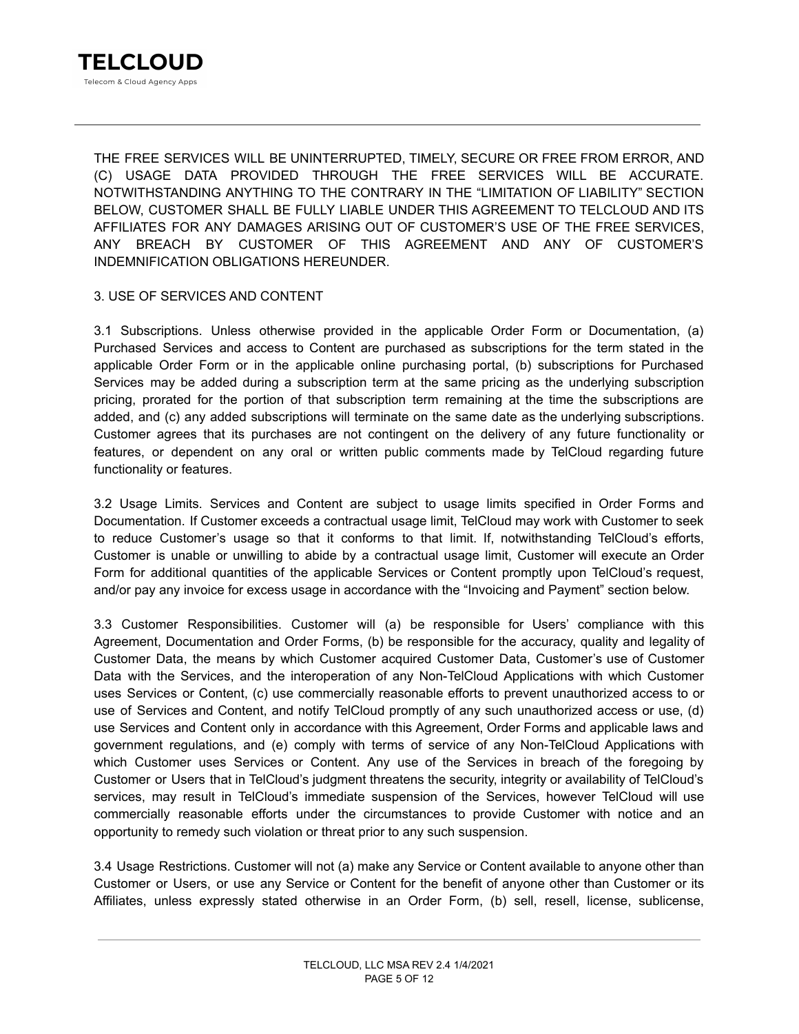THE FREE SERVICES WILL BE UNINTERRUPTED, TIMELY, SECURE OR FREE FROM ERROR, AND (C) USAGE DATA PROVIDED THROUGH THE FREE SERVICES WILL BE ACCURATE. NOTWITHSTANDING ANYTHING TO THE CONTRARY IN THE "LIMITATION OF LIABILITY" SECTION BELOW, CUSTOMER SHALL BE FULLY LIABLE UNDER THIS AGREEMENT TO TELCLOUD AND ITS AFFILIATES FOR ANY DAMAGES ARISING OUT OF CUSTOMER'S USE OF THE FREE SERVICES, ANY BREACH BY CUSTOMER OF THIS AGREEMENT AND ANY OF CUSTOMER'S INDEMNIFICATION OBLIGATIONS HEREUNDER.

# 3. USE OF SERVICES AND CONTENT

3.1 Subscriptions. Unless otherwise provided in the applicable Order Form or Documentation, (a) Purchased Services and access to Content are purchased as subscriptions for the term stated in the applicable Order Form or in the applicable online purchasing portal, (b) subscriptions for Purchased Services may be added during a subscription term at the same pricing as the underlying subscription pricing, prorated for the portion of that subscription term remaining at the time the subscriptions are added, and (c) any added subscriptions will terminate on the same date as the underlying subscriptions. Customer agrees that its purchases are not contingent on the delivery of any future functionality or features, or dependent on any oral or written public comments made by TelCloud regarding future functionality or features.

3.2 Usage Limits. Services and Content are subject to usage limits specified in Order Forms and Documentation. If Customer exceeds a contractual usage limit, TelCloud may work with Customer to seek to reduce Customer's usage so that it conforms to that limit. If, notwithstanding TelCloud's efforts, Customer is unable or unwilling to abide by a contractual usage limit, Customer will execute an Order Form for additional quantities of the applicable Services or Content promptly upon TelCloud's request, and/or pay any invoice for excess usage in accordance with the "Invoicing and Payment" section below.

3.3 Customer Responsibilities. Customer will (a) be responsible for Users' compliance with this Agreement, Documentation and Order Forms, (b) be responsible for the accuracy, quality and legality of Customer Data, the means by which Customer acquired Customer Data, Customer's use of Customer Data with the Services, and the interoperation of any Non-TelCloud Applications with which Customer uses Services or Content, (c) use commercially reasonable efforts to prevent unauthorized access to or use of Services and Content, and notify TelCloud promptly of any such unauthorized access or use, (d) use Services and Content only in accordance with this Agreement, Order Forms and applicable laws and government regulations, and (e) comply with terms of service of any Non-TelCloud Applications with which Customer uses Services or Content. Any use of the Services in breach of the foregoing by Customer or Users that in TelCloud's judgment threatens the security, integrity or availability of TelCloud's services, may result in TelCloud's immediate suspension of the Services, however TelCloud will use commercially reasonable efforts under the circumstances to provide Customer with notice and an opportunity to remedy such violation or threat prior to any such suspension.

3.4 Usage Restrictions. Customer will not (a) make any Service or Content available to anyone other than Customer or Users, or use any Service or Content for the benefit of anyone other than Customer or its Affiliates, unless expressly stated otherwise in an Order Form, (b) sell, resell, license, sublicense,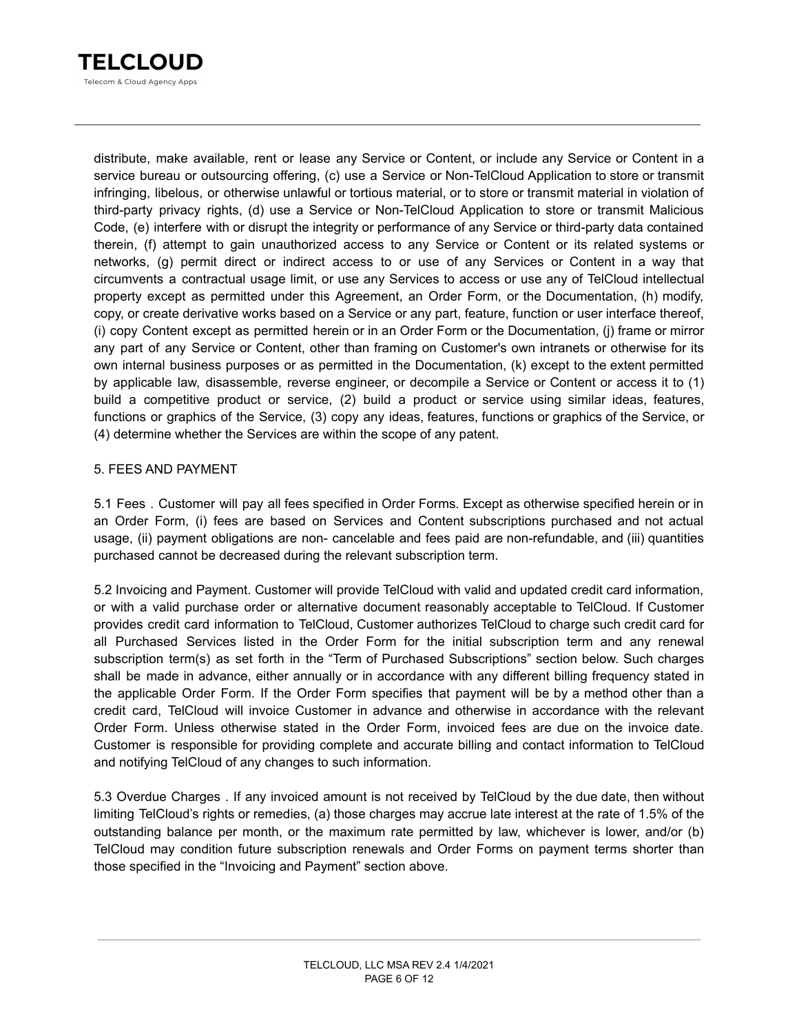

distribute, make available, rent or lease any Service or Content, or include any Service or Content in a service bureau or outsourcing offering, (c) use a Service or Non-TelCloud Application to store or transmit infringing, libelous, or otherwise unlawful or tortious material, or to store or transmit material in violation of third-party privacy rights, (d) use a Service or Non-TelCloud Application to store or transmit Malicious Code, (e) interfere with or disrupt the integrity or performance of any Service or third-party data contained therein, (f) attempt to gain unauthorized access to any Service or Content or its related systems or networks, (g) permit direct or indirect access to or use of any Services or Content in a way that circumvents a contractual usage limit, or use any Services to access or use any of TelCloud intellectual property except as permitted under this Agreement, an Order Form, or the Documentation, (h) modify, copy, or create derivative works based on a Service or any part, feature, function or user interface thereof, (i) copy Content except as permitted herein or in an Order Form or the Documentation, (j) frame or mirror any part of any Service or Content, other than framing on Customer's own intranets or otherwise for its own internal business purposes or as permitted in the Documentation, (k) except to the extent permitted by applicable law, disassemble, reverse engineer, or decompile a Service or Content or access it to (1) build a competitive product or service, (2) build a product or service using similar ideas, features, functions or graphics of the Service, (3) copy any ideas, features, functions or graphics of the Service, or (4) determine whether the Services are within the scope of any patent.

### 5. FEES AND PAYMENT

5.1 Fees . Customer will pay all fees specified in Order Forms. Except as otherwise specified herein or in an Order Form, (i) fees are based on Services and Content subscriptions purchased and not actual usage, (ii) payment obligations are non- cancelable and fees paid are non-refundable, and (iii) quantities purchased cannot be decreased during the relevant subscription term.

5.2 Invoicing and Payment. Customer will provide TelCloud with valid and updated credit card information, or with a valid purchase order or alternative document reasonably acceptable to TelCloud. If Customer provides credit card information to TelCloud, Customer authorizes TelCloud to charge such credit card for all Purchased Services listed in the Order Form for the initial subscription term and any renewal subscription term(s) as set forth in the "Term of Purchased Subscriptions" section below. Such charges shall be made in advance, either annually or in accordance with any different billing frequency stated in the applicable Order Form. If the Order Form specifies that payment will be by a method other than a credit card, TelCloud will invoice Customer in advance and otherwise in accordance with the relevant Order Form. Unless otherwise stated in the Order Form, invoiced fees are due on the invoice date. Customer is responsible for providing complete and accurate billing and contact information to TelCloud and notifying TelCloud of any changes to such information.

5.3 Overdue Charges . If any invoiced amount is not received by TelCloud by the due date, then without limiting TelCloud's rights or remedies, (a) those charges may accrue late interest at the rate of 1.5% of the outstanding balance per month, or the maximum rate permitted by law, whichever is lower, and/or (b) TelCloud may condition future subscription renewals and Order Forms on payment terms shorter than those specified in the "Invoicing and Payment" section above.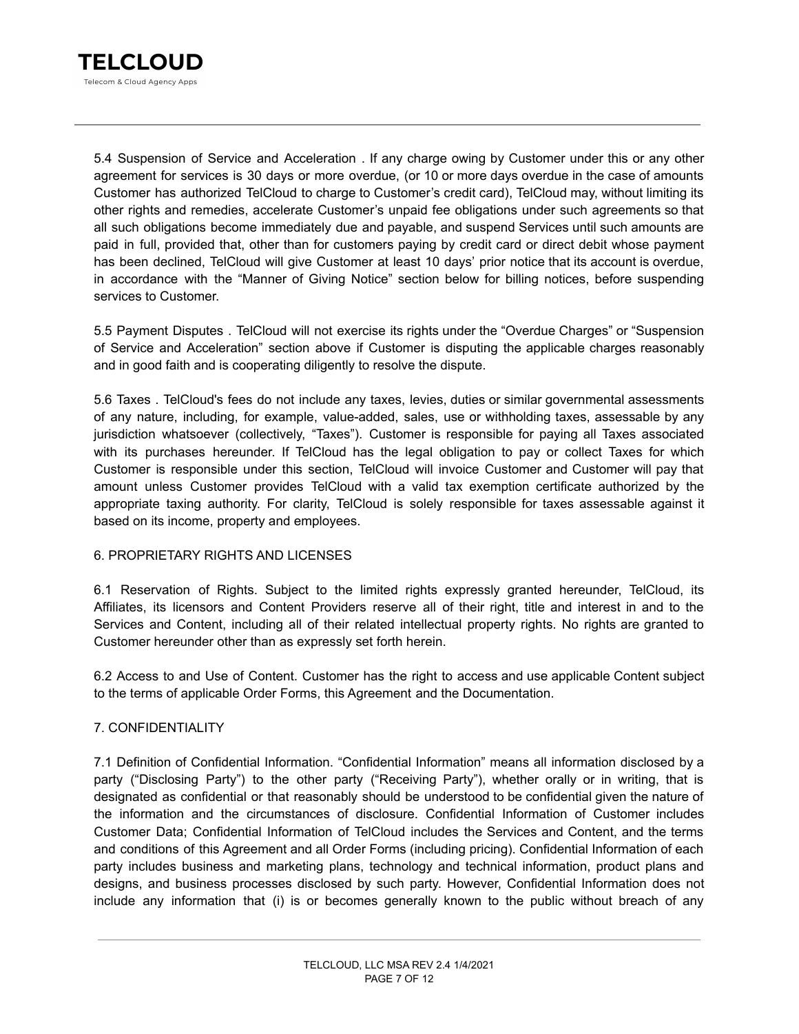

5.4 Suspension of Service and Acceleration . If any charge owing by Customer under this or any other agreement for services is 30 days or more overdue, (or 10 or more days overdue in the case of amounts Customer has authorized TelCloud to charge to Customer's credit card), TelCloud may, without limiting its other rights and remedies, accelerate Customer's unpaid fee obligations under such agreements so that all such obligations become immediately due and payable, and suspend Services until such amounts are paid in full, provided that, other than for customers paying by credit card or direct debit whose payment has been declined, TelCloud will give Customer at least 10 days' prior notice that its account is overdue, in accordance with the "Manner of Giving Notice" section below for billing notices, before suspending services to Customer.

5.5 Payment Disputes . TelCloud will not exercise its rights under the "Overdue Charges" or "Suspension of Service and Acceleration" section above if Customer is disputing the applicable charges reasonably and in good faith and is cooperating diligently to resolve the dispute.

5.6 Taxes . TelCloud's fees do not include any taxes, levies, duties or similar governmental assessments of any nature, including, for example, value-added, sales, use or withholding taxes, assessable by any jurisdiction whatsoever (collectively, "Taxes"). Customer is responsible for paying all Taxes associated with its purchases hereunder. If TelCloud has the legal obligation to pay or collect Taxes for which Customer is responsible under this section, TelCloud will invoice Customer and Customer will pay that amount unless Customer provides TelCloud with a valid tax exemption certificate authorized by the appropriate taxing authority. For clarity, TelCloud is solely responsible for taxes assessable against it based on its income, property and employees.

# 6. PROPRIETARY RIGHTS AND LICENSES

6.1 Reservation of Rights. Subject to the limited rights expressly granted hereunder, TelCloud, its Affiliates, its licensors and Content Providers reserve all of their right, title and interest in and to the Services and Content, including all of their related intellectual property rights. No rights are granted to Customer hereunder other than as expressly set forth herein.

6.2 Access to and Use of Content. Customer has the right to access and use applicable Content subject to the terms of applicable Order Forms, this Agreement and the Documentation.

#### 7. CONFIDENTIALITY

7.1 Definition of Confidential Information. "Confidential Information" means all information disclosed by a party ("Disclosing Party") to the other party ("Receiving Party"), whether orally or in writing, that is designated as confidential or that reasonably should be understood to be confidential given the nature of the information and the circumstances of disclosure. Confidential Information of Customer includes Customer Data; Confidential Information of TelCloud includes the Services and Content, and the terms and conditions of this Agreement and all Order Forms (including pricing). Confidential Information of each party includes business and marketing plans, technology and technical information, product plans and designs, and business processes disclosed by such party. However, Confidential Information does not include any information that (i) is or becomes generally known to the public without breach of any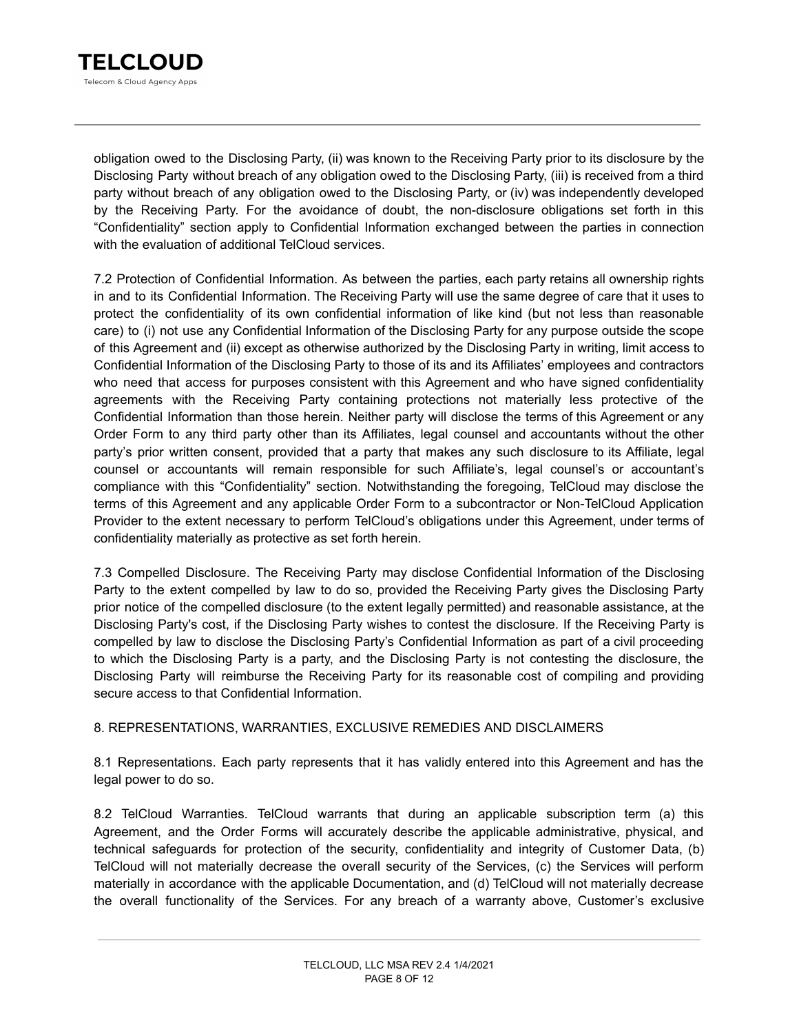

obligation owed to the Disclosing Party, (ii) was known to the Receiving Party prior to its disclosure by the Disclosing Party without breach of any obligation owed to the Disclosing Party, (iii) is received from a third party without breach of any obligation owed to the Disclosing Party, or (iv) was independently developed by the Receiving Party. For the avoidance of doubt, the non-disclosure obligations set forth in this "Confidentiality" section apply to Confidential Information exchanged between the parties in connection with the evaluation of additional TelCloud services.

7.2 Protection of Confidential Information. As between the parties, each party retains all ownership rights in and to its Confidential Information. The Receiving Party will use the same degree of care that it uses to protect the confidentiality of its own confidential information of like kind (but not less than reasonable care) to (i) not use any Confidential Information of the Disclosing Party for any purpose outside the scope of this Agreement and (ii) except as otherwise authorized by the Disclosing Party in writing, limit access to Confidential Information of the Disclosing Party to those of its and its Affiliates' employees and contractors who need that access for purposes consistent with this Agreement and who have signed confidentiality agreements with the Receiving Party containing protections not materially less protective of the Confidential Information than those herein. Neither party will disclose the terms of this Agreement or any Order Form to any third party other than its Affiliates, legal counsel and accountants without the other party's prior written consent, provided that a party that makes any such disclosure to its Affiliate, legal counsel or accountants will remain responsible for such Affiliate's, legal counsel's or accountant's compliance with this "Confidentiality" section. Notwithstanding the foregoing, TelCloud may disclose the terms of this Agreement and any applicable Order Form to a subcontractor or Non-TelCloud Application Provider to the extent necessary to perform TelCloud's obligations under this Agreement, under terms of confidentiality materially as protective as set forth herein.

7.3 Compelled Disclosure. The Receiving Party may disclose Confidential Information of the Disclosing Party to the extent compelled by law to do so, provided the Receiving Party gives the Disclosing Party prior notice of the compelled disclosure (to the extent legally permitted) and reasonable assistance, at the Disclosing Party's cost, if the Disclosing Party wishes to contest the disclosure. If the Receiving Party is compelled by law to disclose the Disclosing Party's Confidential Information as part of a civil proceeding to which the Disclosing Party is a party, and the Disclosing Party is not contesting the disclosure, the Disclosing Party will reimburse the Receiving Party for its reasonable cost of compiling and providing secure access to that Confidential Information.

# 8. REPRESENTATIONS, WARRANTIES, EXCLUSIVE REMEDIES AND DISCLAIMERS

8.1 Representations. Each party represents that it has validly entered into this Agreement and has the legal power to do so.

8.2 TelCloud Warranties. TelCloud warrants that during an applicable subscription term (a) this Agreement, and the Order Forms will accurately describe the applicable administrative, physical, and technical safeguards for protection of the security, confidentiality and integrity of Customer Data, (b) TelCloud will not materially decrease the overall security of the Services, (c) the Services will perform materially in accordance with the applicable Documentation, and (d) TelCloud will not materially decrease the overall functionality of the Services. For any breach of a warranty above, Customer's exclusive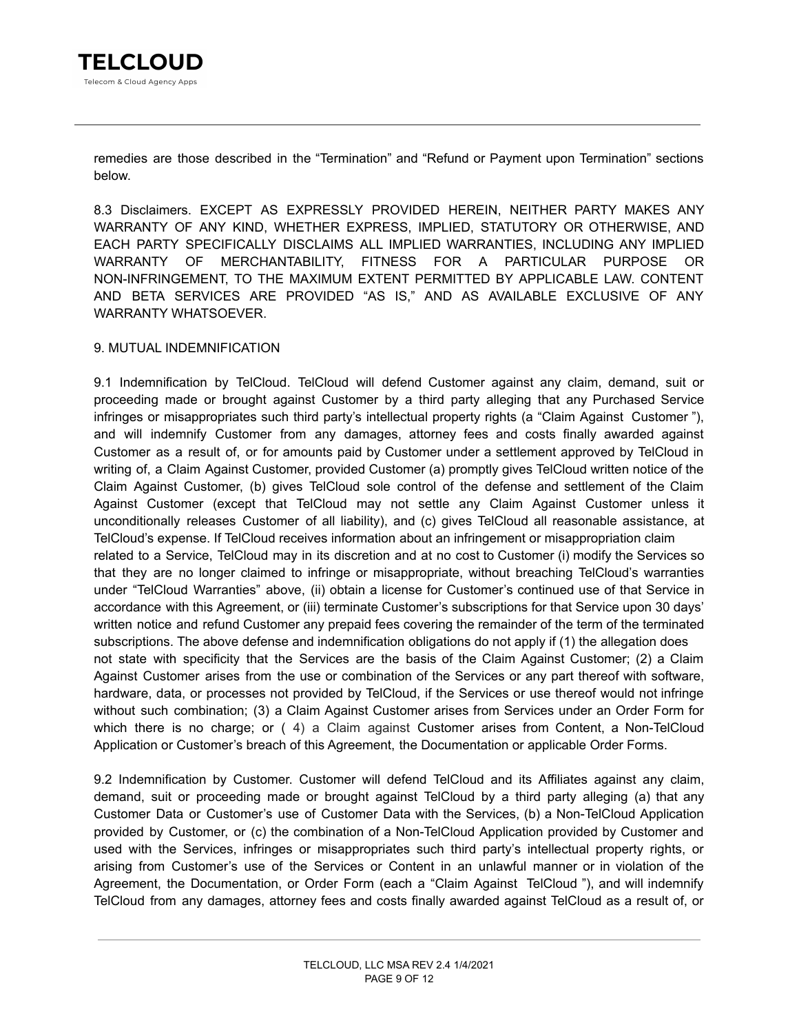remedies are those described in the "Termination" and "Refund or Payment upon Termination" sections below.

8.3 Disclaimers. EXCEPT AS EXPRESSLY PROVIDED HEREIN, NEITHER PARTY MAKES ANY WARRANTY OF ANY KIND, WHETHER EXPRESS, IMPLIED, STATUTORY OR OTHERWISE, AND EACH PARTY SPECIFICALLY DISCLAIMS ALL IMPLIED WARRANTIES, INCLUDING ANY IMPLIED WARRANTY OF MERCHANTABILITY, FITNESS FOR A PARTICULAR PURPOSE OR NON-INFRINGEMENT, TO THE MAXIMUM EXTENT PERMITTED BY APPLICABLE LAW. CONTENT AND BETA SERVICES ARE PROVIDED "AS IS," AND AS AVAILABLE EXCLUSIVE OF ANY WARRANTY WHATSOEVER.

### 9. MUTUAL INDEMNIFICATION

9.1 Indemnification by TelCloud. TelCloud will defend Customer against any claim, demand, suit or proceeding made or brought against Customer by a third party alleging that any Purchased Service infringes or misappropriates such third party's intellectual property rights (a "Claim Against Customer "), and will indemnify Customer from any damages, attorney fees and costs finally awarded against Customer as a result of, or for amounts paid by Customer under a settlement approved by TelCloud in writing of, a Claim Against Customer, provided Customer (a) promptly gives TelCloud written notice of the Claim Against Customer, (b) gives TelCloud sole control of the defense and settlement of the Claim Against Customer (except that TelCloud may not settle any Claim Against Customer unless it unconditionally releases Customer of all liability), and (c) gives TelCloud all reasonable assistance, at TelCloud's expense. If TelCloud receives information about an infringement or misappropriation claim related to a Service, TelCloud may in its discretion and at no cost to Customer (i) modify the Services so that they are no longer claimed to infringe or misappropriate, without breaching TelCloud's warranties under "TelCloud Warranties" above, (ii) obtain a license for Customer's continued use of that Service in accordance with this Agreement, or (iii) terminate Customer's subscriptions for that Service upon 30 days' written notice and refund Customer any prepaid fees covering the remainder of the term of the terminated subscriptions. The above defense and indemnification obligations do not apply if (1) the allegation does not state with specificity that the Services are the basis of the Claim Against Customer; (2) a Claim Against Customer arises from the use or combination of the Services or any part thereof with software, hardware, data, or processes not provided by TelCloud, if the Services or use thereof would not infringe without such combination; (3) a Claim Against Customer arises from Services under an Order Form for which there is no charge; or (4) a Claim against Customer arises from Content, a Non-TelCloud Application or Customer's breach of this Agreement, the Documentation or applicable Order Forms.

9.2 Indemnification by Customer. Customer will defend TelCloud and its Affiliates against any claim, demand, suit or proceeding made or brought against TelCloud by a third party alleging (a) that any Customer Data or Customer's use of Customer Data with the Services, (b) a Non-TelCloud Application provided by Customer, or (c) the combination of a Non-TelCloud Application provided by Customer and used with the Services, infringes or misappropriates such third party's intellectual property rights, or arising from Customer's use of the Services or Content in an unlawful manner or in violation of the Agreement, the Documentation, or Order Form (each a "Claim Against TelCloud "), and will indemnify TelCloud from any damages, attorney fees and costs finally awarded against TelCloud as a result of, or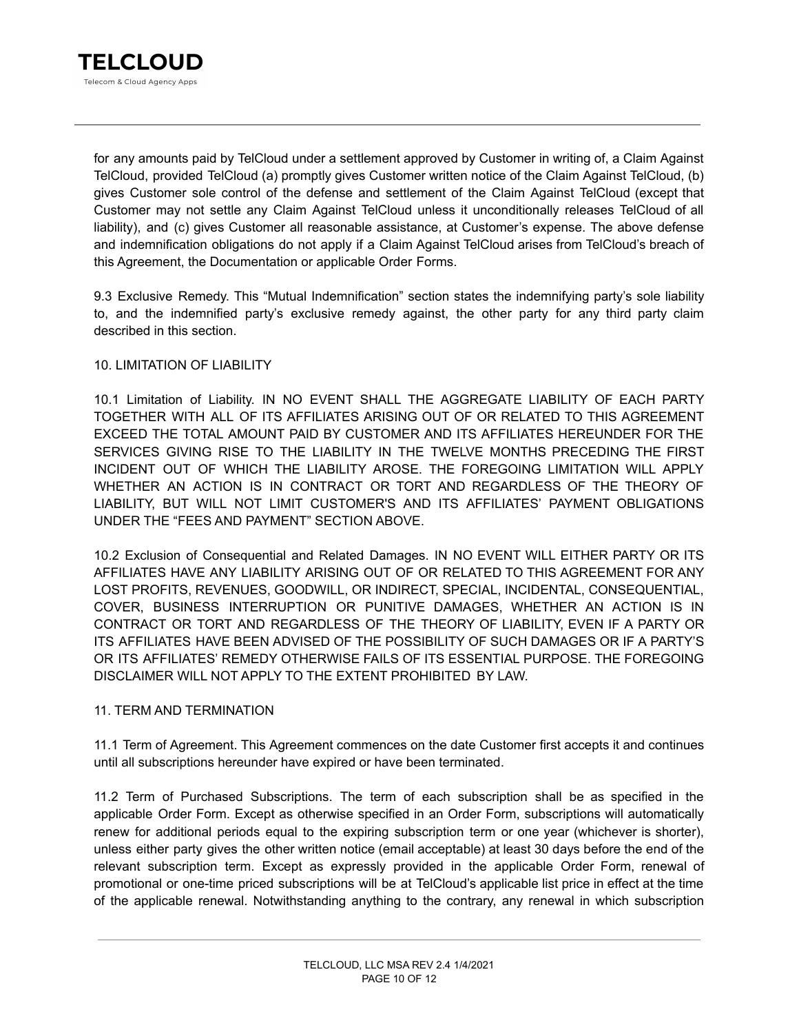

for any amounts paid by TelCloud under a settlement approved by Customer in writing of, a Claim Against TelCloud, provided TelCloud (a) promptly gives Customer written notice of the Claim Against TelCloud, (b) gives Customer sole control of the defense and settlement of the Claim Against TelCloud (except that Customer may not settle any Claim Against TelCloud unless it unconditionally releases TelCloud of all liability), and (c) gives Customer all reasonable assistance, at Customer's expense. The above defense and indemnification obligations do not apply if a Claim Against TelCloud arises from TelCloud's breach of this Agreement, the Documentation or applicable Order Forms.

9.3 Exclusive Remedy. This "Mutual Indemnification" section states the indemnifying party's sole liability to, and the indemnified party's exclusive remedy against, the other party for any third party claim described in this section.

### 10. LIMITATION OF LIABILITY

10.1 Limitation of Liability. IN NO EVENT SHALL THE AGGREGATE LIABILITY OF EACH PARTY TOGETHER WITH ALL OF ITS AFFILIATES ARISING OUT OF OR RELATED TO THIS AGREEMENT EXCEED THE TOTAL AMOUNT PAID BY CUSTOMER AND ITS AFFILIATES HEREUNDER FOR THE SERVICES GIVING RISE TO THE LIABILITY IN THE TWELVE MONTHS PRECEDING THE FIRST INCIDENT OUT OF WHICH THE LIABILITY AROSE. THE FOREGOING LIMITATION WILL APPLY WHETHER AN ACTION IS IN CONTRACT OR TORT AND REGARDLESS OF THE THEORY OF LIABILITY, BUT WILL NOT LIMIT CUSTOMER'S AND ITS AFFILIATES' PAYMENT OBLIGATIONS UNDER THE "FEES AND PAYMENT" SECTION ABOVE.

10.2 Exclusion of Consequential and Related Damages. IN NO EVENT WILL EITHER PARTY OR ITS AFFILIATES HAVE ANY LIABILITY ARISING OUT OF OR RELATED TO THIS AGREEMENT FOR ANY LOST PROFITS, REVENUES, GOODWILL, OR INDIRECT, SPECIAL, INCIDENTAL, CONSEQUENTIAL, COVER, BUSINESS INTERRUPTION OR PUNITIVE DAMAGES, WHETHER AN ACTION IS IN CONTRACT OR TORT AND REGARDLESS OF THE THEORY OF LIABILITY, EVEN IF A PARTY OR ITS AFFILIATES HAVE BEEN ADVISED OF THE POSSIBILITY OF SUCH DAMAGES OR IF A PARTY'S OR ITS AFFILIATES' REMEDY OTHERWISE FAILS OF ITS ESSENTIAL PURPOSE. THE FOREGOING DISCLAIMER WILL NOT APPLY TO THE EXTENT PROHIBITED BY LAW.

### 11. TERM AND TERMINATION

11.1 Term of Agreement. This Agreement commences on the date Customer first accepts it and continues until all subscriptions hereunder have expired or have been terminated.

11.2 Term of Purchased Subscriptions. The term of each subscription shall be as specified in the applicable Order Form. Except as otherwise specified in an Order Form, subscriptions will automatically renew for additional periods equal to the expiring subscription term or one year (whichever is shorter), unless either party gives the other written notice (email acceptable) at least 30 days before the end of the relevant subscription term. Except as expressly provided in the applicable Order Form, renewal of promotional or one-time priced subscriptions will be at TelCloud's applicable list price in effect at the time of the applicable renewal. Notwithstanding anything to the contrary, any renewal in which subscription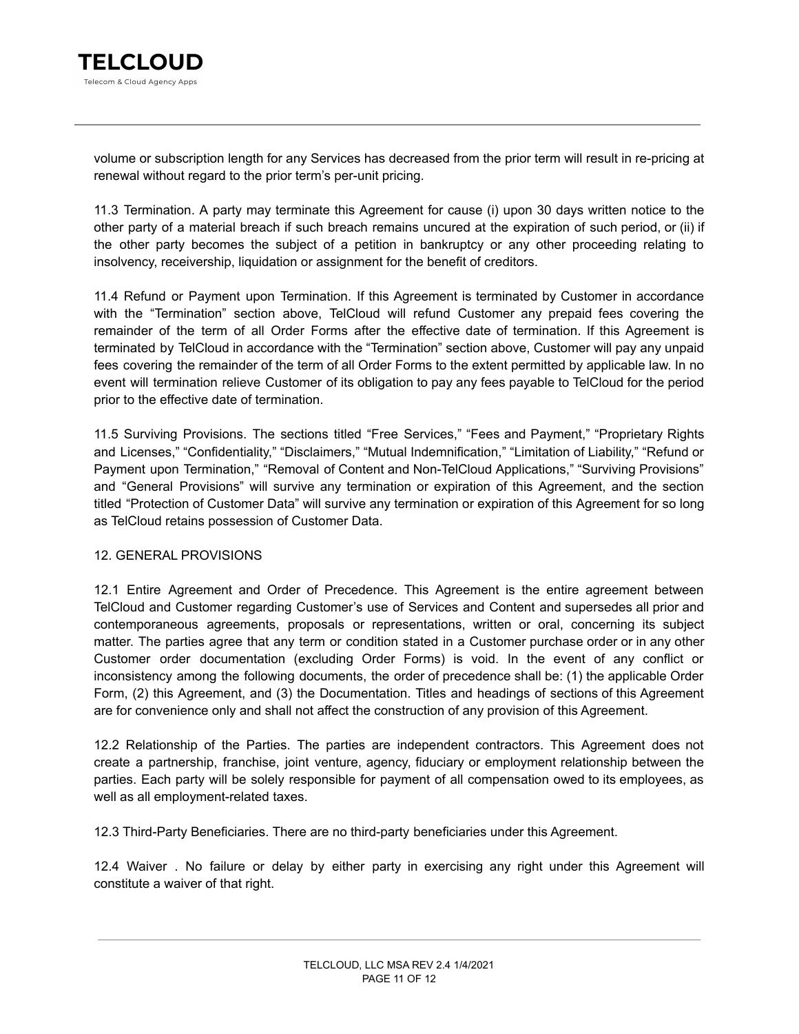

volume or subscription length for any Services has decreased from the prior term will result in re-pricing at renewal without regard to the prior term's per-unit pricing.

11.3 Termination. A party may terminate this Agreement for cause (i) upon 30 days written notice to the other party of a material breach if such breach remains uncured at the expiration of such period, or (ii) if the other party becomes the subject of a petition in bankruptcy or any other proceeding relating to insolvency, receivership, liquidation or assignment for the benefit of creditors.

11.4 Refund or Payment upon Termination. If this Agreement is terminated by Customer in accordance with the "Termination" section above, TelCloud will refund Customer any prepaid fees covering the remainder of the term of all Order Forms after the effective date of termination. If this Agreement is terminated by TelCloud in accordance with the "Termination" section above, Customer will pay any unpaid fees covering the remainder of the term of all Order Forms to the extent permitted by applicable law. In no event will termination relieve Customer of its obligation to pay any fees payable to TelCloud for the period prior to the effective date of termination.

11.5 Surviving Provisions. The sections titled "Free Services," "Fees and Payment," "Proprietary Rights and Licenses," "Confidentiality," "Disclaimers," "Mutual Indemnification," "Limitation of Liability," "Refund or Payment upon Termination," "Removal of Content and Non-TelCloud Applications," "Surviving Provisions" and "General Provisions" will survive any termination or expiration of this Agreement, and the section titled "Protection of Customer Data" will survive any termination or expiration of this Agreement for so long as TelCloud retains possession of Customer Data.

#### 12. GENERAL PROVISIONS

12.1 Entire Agreement and Order of Precedence. This Agreement is the entire agreement between TelCloud and Customer regarding Customer's use of Services and Content and supersedes all prior and contemporaneous agreements, proposals or representations, written or oral, concerning its subject matter. The parties agree that any term or condition stated in a Customer purchase order or in any other Customer order documentation (excluding Order Forms) is void. In the event of any conflict or inconsistency among the following documents, the order of precedence shall be: (1) the applicable Order Form, (2) this Agreement, and (3) the Documentation. Titles and headings of sections of this Agreement are for convenience only and shall not affect the construction of any provision of this Agreement.

12.2 Relationship of the Parties. The parties are independent contractors. This Agreement does not create a partnership, franchise, joint venture, agency, fiduciary or employment relationship between the parties. Each party will be solely responsible for payment of all compensation owed to its employees, as well as all employment-related taxes.

12.3 Third-Party Beneficiaries. There are no third-party beneficiaries under this Agreement.

12.4 Waiver . No failure or delay by either party in exercising any right under this Agreement will constitute a waiver of that right.